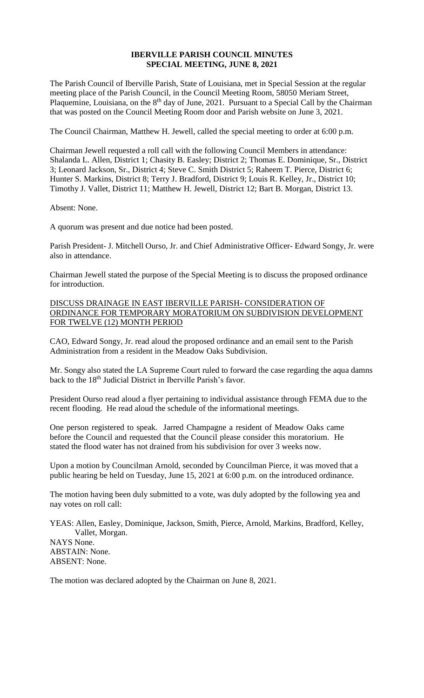## **IBERVILLE PARISH COUNCIL MINUTES SPECIAL MEETING, JUNE 8, 2021**

The Parish Council of Iberville Parish, State of Louisiana, met in Special Session at the regular meeting place of the Parish Council, in the Council Meeting Room, 58050 Meriam Street, Plaquemine, Louisiana, on the 8<sup>th</sup> day of June, 2021. Pursuant to a Special Call by the Chairman that was posted on the Council Meeting Room door and Parish website on June 3, 2021.

The Council Chairman, Matthew H. Jewell, called the special meeting to order at 6:00 p.m.

Chairman Jewell requested a roll call with the following Council Members in attendance: Shalanda L. Allen, District 1; Chasity B. Easley; District 2; Thomas E. Dominique, Sr., District 3; Leonard Jackson, Sr., District 4; Steve C. Smith District 5; Raheem T. Pierce, District 6; Hunter S. Markins, District 8; Terry J. Bradford, District 9; Louis R. Kelley, Jr., District 10; Timothy J. Vallet, District 11; Matthew H. Jewell, District 12; Bart B. Morgan, District 13.

Absent: None.

A quorum was present and due notice had been posted.

Parish President- J. Mitchell Ourso, Jr. and Chief Administrative Officer- Edward Songy, Jr. were also in attendance.

Chairman Jewell stated the purpose of the Special Meeting is to discuss the proposed ordinance for introduction.

## DISCUSS DRAINAGE IN EAST IBERVILLE PARISH- CONSIDERATION OF ORDINANCE FOR TEMPORARY MORATORIUM ON SUBDIVISION DEVELOPMENT FOR TWELVE (12) MONTH PERIOD

CAO, Edward Songy, Jr. read aloud the proposed ordinance and an email sent to the Parish Administration from a resident in the Meadow Oaks Subdivision.

Mr. Songy also stated the LA Supreme Court ruled to forward the case regarding the aqua damns back to the 18<sup>th</sup> Judicial District in Iberville Parish's favor.

President Ourso read aloud a flyer pertaining to individual assistance through FEMA due to the recent flooding. He read aloud the schedule of the informational meetings.

One person registered to speak. Jarred Champagne a resident of Meadow Oaks came before the Council and requested that the Council please consider this moratorium. He stated the flood water has not drained from his subdivision for over 3 weeks now.

Upon a motion by Councilman Arnold, seconded by Councilman Pierce, it was moved that a public hearing be held on Tuesday, June 15, 2021 at 6:00 p.m. on the introduced ordinance.

The motion having been duly submitted to a vote, was duly adopted by the following yea and nay votes on roll call:

YEAS: Allen, Easley, Dominique, Jackson, Smith, Pierce, Arnold, Markins, Bradford, Kelley, Vallet, Morgan. NAYS None. ABSTAIN: None. ABSENT: None.

The motion was declared adopted by the Chairman on June 8, 2021.